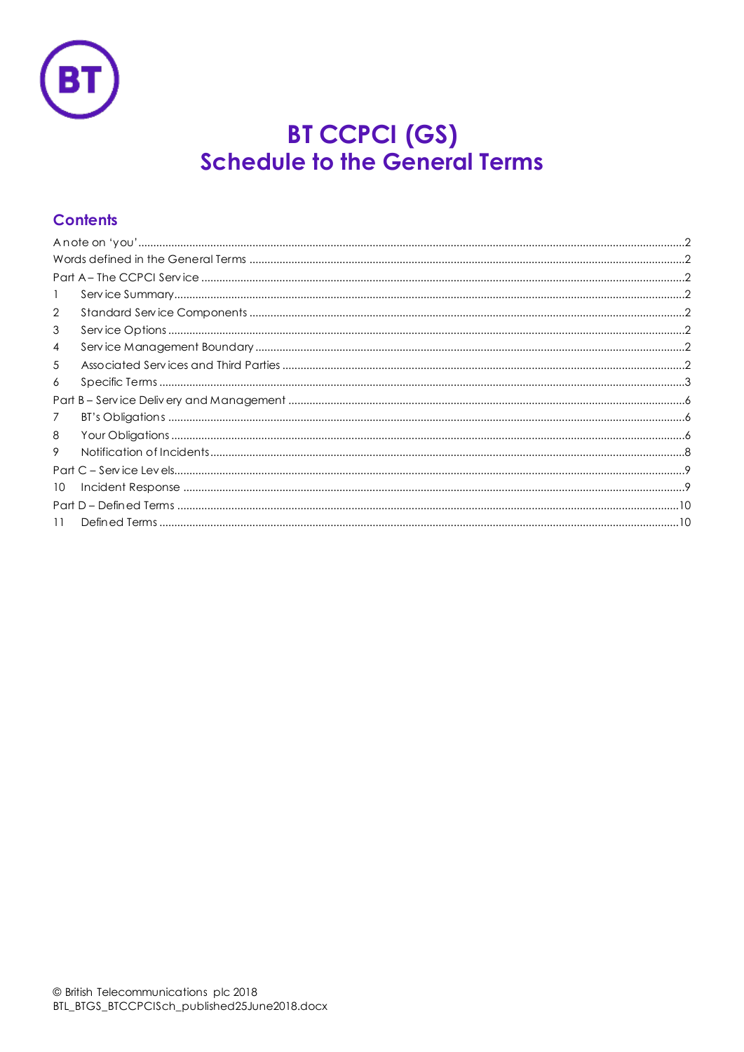

# **BT CCPCI (GS)**<br>Schedule to the General Terms

# **Contents**

| $\mathbf{1}$ |  |  |
|--------------|--|--|
| 2            |  |  |
| 3            |  |  |
| 4            |  |  |
| 5            |  |  |
| 6            |  |  |
|              |  |  |
| 7            |  |  |
| 8            |  |  |
| 9            |  |  |
|              |  |  |
| 10           |  |  |
|              |  |  |
| 11           |  |  |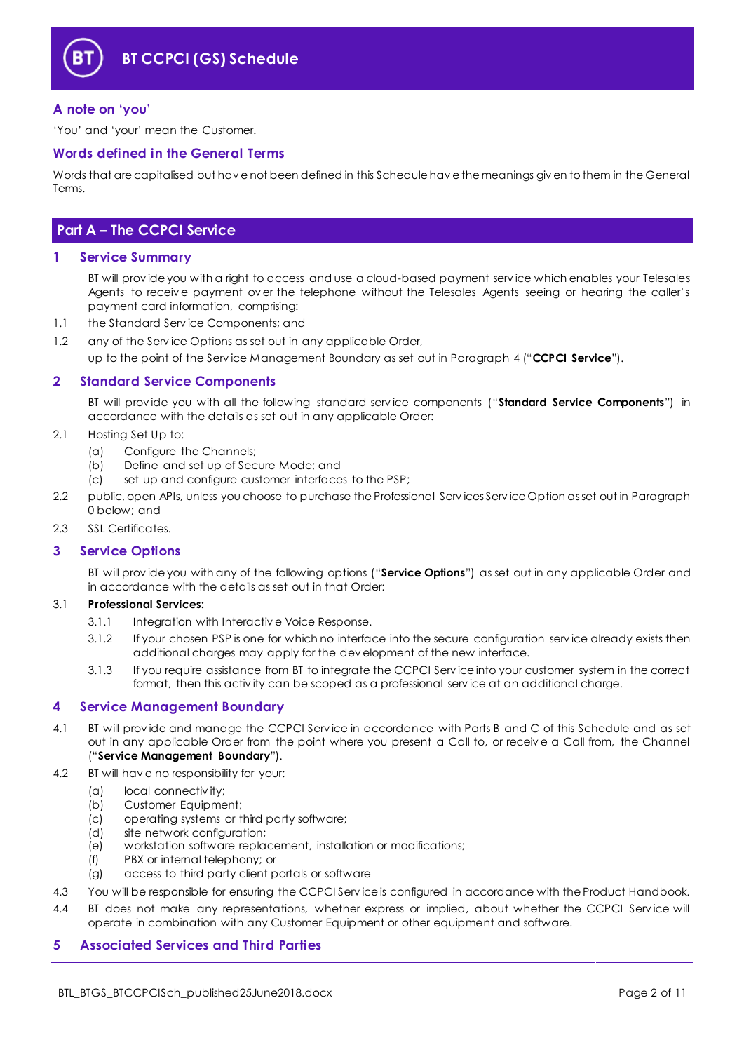

# <span id="page-1-0"></span>**A note on 'you'**

'You' and 'your' mean the Customer.

#### <span id="page-1-1"></span>**Words defined in the General Terms**

Words that are capitalised but hav e not been defined in this Schedule hav e the meanings giv en to them in the General Terms.

# <span id="page-1-2"></span>**Part A – The CCPCI Service**

#### <span id="page-1-3"></span>**1 Service Summary**

BT will prov ide you with a right to access and use a cloud-based payment serv ice which enables your Telesales Agents to receiv e payment ov er the telephone without the Telesales Agents seeing or hearing the caller's payment card information, comprising:

1.1 the Standard Serv ice Components; and

1.2 any of the Serv ice Options as set out in any applicable Order, up to the point of the Serv ice Management Boundary as set out in Paragraph [4](#page-1-6) ("**CCPCI Service**").

# <span id="page-1-4"></span>**2 Standard Service Components**

BT will prov ide you with all the following standard serv ice components ("**Standard Service Components**") in accordance with the details as set out in any applicable Order:

- <span id="page-1-9"></span>2.1 Hosting Set Up to:
	- (a) Configure the Channels;
	- (b) Define and set up of Secure Mode; and
	- (c) set up and configure customer interfaces to the PSP;
- 2.2 public, open APIs, unless you choose to purchase the Professional Serv ices Serv ice Option as set out in Paragraph [0](#page-1-8) below; and
- 2.3 SSL Certificates.

#### <span id="page-1-5"></span>**3 Service Options**

<span id="page-1-8"></span>BT will prov ide you with any of the following options ("**Service Options**") as set out in any applicable Order and in accordance with the details as set out in that Order:

#### 3.1 **Professional Services:**

- 3.1.1 Integration with Interactiv e Voice Response.
- 3.1.2 If your chosen PSP is one for which no interface into the secure configuration serv ice already exists then additional charges may apply for the dev elopment of the new interface.
- 3.1.3 If you require assistance from BT to integrate the CCPCI Serv ice into your customer system in the correct format, then this activ ity can be scoped as a professional serv ice at an additional charge.

#### <span id="page-1-6"></span>**4 Service Management Boundary**

- <span id="page-1-10"></span>4.1 BT will prov ide and manage the CCPCI Serv ice in accordance with Parts B and C of this Schedule and as set out in any applicable Order from the point where you present a Call to, or receiv e a Call from, the Channel ("**Service Management Boundary**").
- 4.2 BT will hav e no responsibility for your:
	- (a) local connectiv ity;
	- (b) Customer Equipment;
	- (c) operating systems or third party software;
	- (d) site network configuration;<br>(e) workstation software replaction
	- workstation software replacement, installation or modifications;
	- (f) PBX or internal telephony; or
	- (g) access to third party client portals or software
- 4.3 You will be responsible for ensuring the CCPCI Serv ice is configured in accordance with the Product Handbook.
- 4.4 BT does not make any representations, whether express or implied, about whether the CCPCI Service will operate in combination with any Customer Equipment or other equipment and software.

#### <span id="page-1-7"></span>**5 Associated Services and Third Parties**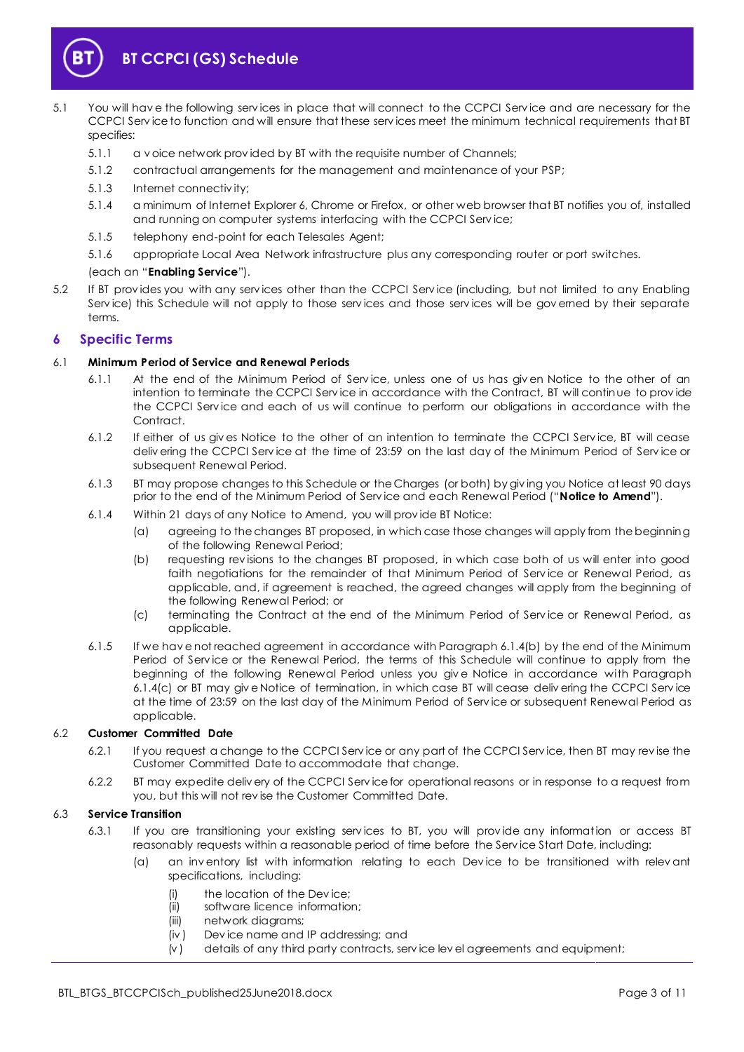

- <span id="page-2-4"></span>5.1 You will hav e the following serv ices in place that will connect to the CCPCI Serv ice and are necessary for the CCPCI Serv ice to function and will ensure that these serv ices meet the minimum technical requirements that BT specifies:
	- 5.1.1 a v oice network prov ided by BT with the requisite number of Channels;
	- 5.1.2 contractual arrangements for the management and maintenance of your PSP;
	- 5.1.3 Internet connectiv ity;
	- 5.1.4 a minimum of Internet Explorer 6, Chrome or Firefox, or other web browser that BT notifies you of, installed and running on computer systems interfacing with the CCPCI Serv ice;
	- 5.1.5 telephony end-point for each Telesales Agent;
	- 5.1.6 appropriate Local Area Network infrastructure plus any corresponding router or port switches.

#### (each an "**Enabling Service**").

5.2 If BT prov ides you with any serv ices other than the CCPCI Serv ice (including, but not limited to any Enabling Serv ice) this Schedule will not apply to those serv ices and those serv ices will be gov erned by their separate terms.

# <span id="page-2-0"></span>**6 Specific Terms**

#### 6.1 **Minimum Period of Service and Renewal Periods**

- 6.1.1 At the end of the Minimum Period of Serv ice, unless one of us has giv en Notice to the other of an intention to terminate the CCPCI Serv ice in accordance with the Contract, BT will continue to prov ide the CCPCI Serv ice and each of us will continue to perform our obligations in accordance with the Contract.
- 6.1.2 If either of us giv es Notice to the other of an intention to terminate the CCPCI Serv ice, BT will cease deliv ering the CCPCI Serv ice at the time of 23:59 on the last day of the Minimum Period of Serv ice or subsequent Renewal Period.
- <span id="page-2-5"></span>6.1.3 BT may propose changes to this Schedule or the Charges (or both) by giv ing you Notice at least 90 days prior to the end of the Minimum Period of Serv ice and each Renewal Period ("**Notice to Amend**").
- <span id="page-2-1"></span>6.1.4 Within 21 days of any Notice to Amend, you will prov ide BT Notice:
	- (a) agreeing to the changes BT proposed, in which case those changes will apply from the beginning of the following Renewal Period;
	- (b) requesting rev isions to the changes BT proposed, in which case both of us will enter into good faith negotiations for the remainder of that Minimum Period of Service or Renewal Period, as applicable, and, if agreement is reached, the agreed changes will apply from the beginning of the following Renewal Period; or
	- (c) terminating the Contract at the end of the Minimum Period of Serv ice or Renewal Period, as applicable.
- <span id="page-2-2"></span>6.1.5 If we hav e not reached agreement in accordance with Paragrap[h 6.1.4\(b\)](#page-2-1) by the end of the Minimum Period of Service or the Renewal Period, the terms of this Schedule will continue to apply from the beginning of the following Renewal Period unless you giv e Notice in accordance with Paragraph [6.1.4\(c\)](#page-2-2) or BT may giv e Notice of termination, in which case BT will cease deliv ering the CCPCI Serv ice at the time of 23:59 on the last day of the Minimum Period of Serv ice or subsequent Renewal Period as applicable.

#### 6.2 **Customer Committed Date**

- 6.2.1 If you request a change to the CCPCI Serv ice or any part of the CCPCI Serv ice, then BT may rev ise the Customer Committed Date to accommodate that change.
- 6.2.2 BT may expedite deliv ery of the CCPCI Serv ice for operational reasons or in response to a request from you, but this will not rev ise the Customer Committed Date.

#### <span id="page-2-3"></span>6.3 **Service Transition**

- 6.3.1 If you are transitioning your existing serv ices to BT, you will prov ide any information or access BT reasonably requests within a reasonable period of time before the Serv ice Start Date, including:
	- (a) an inv entory list with information relating to each Dev ice to be transitioned with relev ant specifications, including:
		- (i) the location of the Dev ice;
		- (ii) software licence information;
		- (iii) network diagrams;
		- (iv ) Dev ice name and IP addressing; and
		- (v ) details of any third party contracts, serv ice lev el agreements and equipment;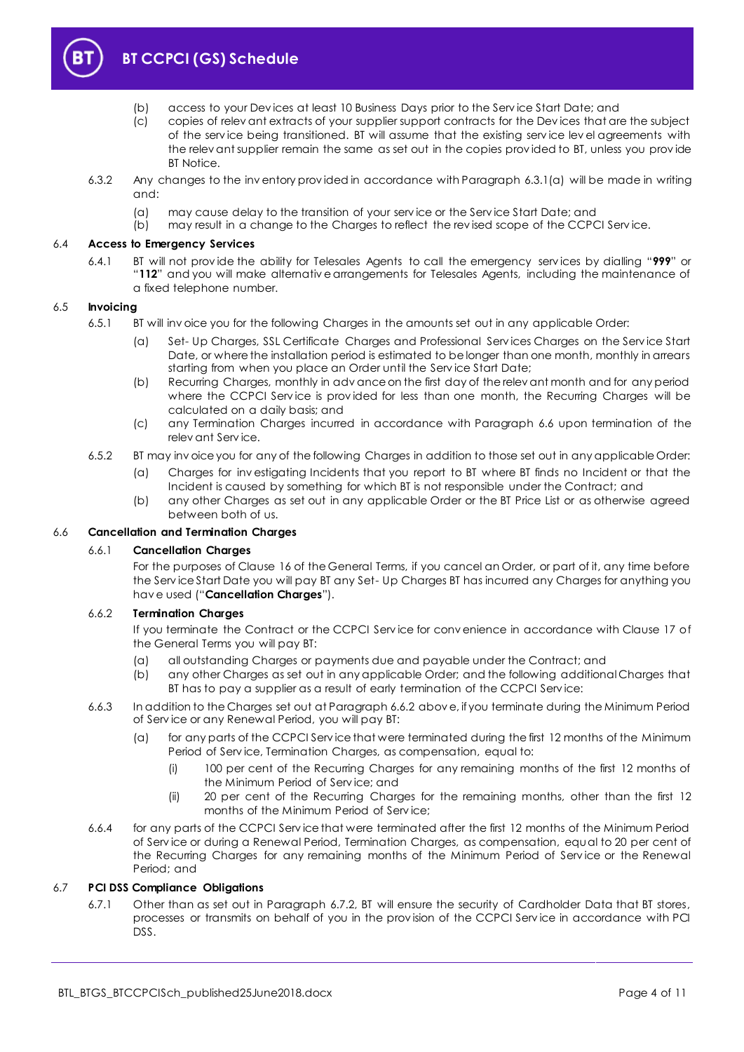

- (b) access to your Dev ices at least 10 Business Days prior to the Serv ice Start Date; and
- (c) copies of relev ant extracts of your supplier support contracts for the Dev ices that are the subject of the serv ice being transitioned. BT will assume that the existing serv ice lev el agreements with the relev ant supplier remain the same as set out in the copies prov ided to BT, unless you prov ide BT Notice.
- 6.3.2 Any changes to the inv entory prov ided in accordance with Paragraph [6.3.1\(a\)](#page-2-3) will be made in writing and:
	- (a) may cause delay to the transition of your service or the Service Start Date; and (b) may result in a change to the Charges to reflect the revised scope of the CCPC
	- may result in a change to the Charges to reflect the rev ised scope of the CCPCI Service.

#### 6.4 **Access to Emergency Services**

6.4.1 BT will not prov ide the ability for Telesales Agents to call the emergency serv ices by dialling "**999**" or "**112**" and you will make alternativ e arrangements for Telesales Agents, including the maintenance of a fixed telephone number.

#### 6.5 **Invoicing**

- 6.5.1 BT will inv oice you for the following Charges in the amounts set out in any applicable Order:
	- (a) Set- Up Charges, SSL Certificate Charges and Professional Serv ices Charges on the Serv ice Start Date, or where the installation period is estimated to be longer than one month, monthly in arrears starting from when you place an Order until the Serv ice Start Date;
	- (b) Recurring Charges, monthly in adv ance on the first day of the relev ant month and for any period where the CCPCI Service is provided for less than one month, the Recurring Charges will be calculated on a daily basis; and
	- (c) any Termination Charges incurred in accordance with Paragraph [6.6](#page-3-0) upon termination of the relev ant Serv ice.
- 6.5.2 BT may inv oice you for any of the following Charges in addition to those set out in any applicable Order:
	- (a) Charges for inv estigating Incidents that you report to BT where BT finds no Incident or that the Incident is caused by something for which BT is not responsible under the Contract; and
	- (b) any other Charges as set out in any applicable Order or the BT Price List or as otherwise agreed between both of us.

#### <span id="page-3-0"></span>6.6 **Cancellation and Termination Charges**

#### 6.6.1 **Cancellation Charges**

For the purposes of Clause 16 of the General Terms, if you cancel an Order, or part of it, any time before the Serv ice Start Date you will pay BT any Set- Up Charges BT has incurred any Charges for anything you hav e used ("**Cancellation Charges**").

#### <span id="page-3-1"></span>6.6.2 **Termination Charges**

If you terminate the Contract or the CCPCI Serv ice for conv enience in accordance with Clause 17 of the General Terms you will pay BT:

- (a) all outstanding Charges or payments due and payable under the Contract; and
- (b) any other Charges as set out in any applicable Order; and the following additional Charges that BT has to pay a supplier as a result of early termination of the CCPCI Serv ice:
- 6.6.3 In addition to the Charges set out at Paragrap[h 6.6.2](#page-3-1) abov e, if you terminate during the Minimum Period of Serv ice or any Renewal Period, you will pay BT:
	- (a) for any parts of the CCPCI Serv ice that were terminated during the first 12 months of the Minimum Period of Serv ice, Termination Charges, as compensation, equal to:
		- (i) 100 per cent of the Recurring Charges for any remaining months of the first 12 months of the Minimum Period of Serv ice; and
		- (ii) 20 per cent of the Recurring Charges for the remaining months, other than the first 12 months of the Minimum Period of Serv ice;
- 6.6.4 for any parts of the CCPCI Serv ice that were terminated after the first 12 months of the Minimum Period of Serv ice or during a Renewal Period, Termination Charges, as compensation, equal to 20 per cent of the Recurring Charges for any remaining months of the Minimum Period of Service or the Renewal Period; and

#### 6.7 **PCI DSS Compliance Obligations**

6.7.1 Other than as set out in Paragraph [6.7.2,](#page-4-0) BT will ensure the security of Cardholder Data that BT stores, processes or transmits on behalf of you in the prov ision of the CCPCI Serv ice in accordance with PCI DSS.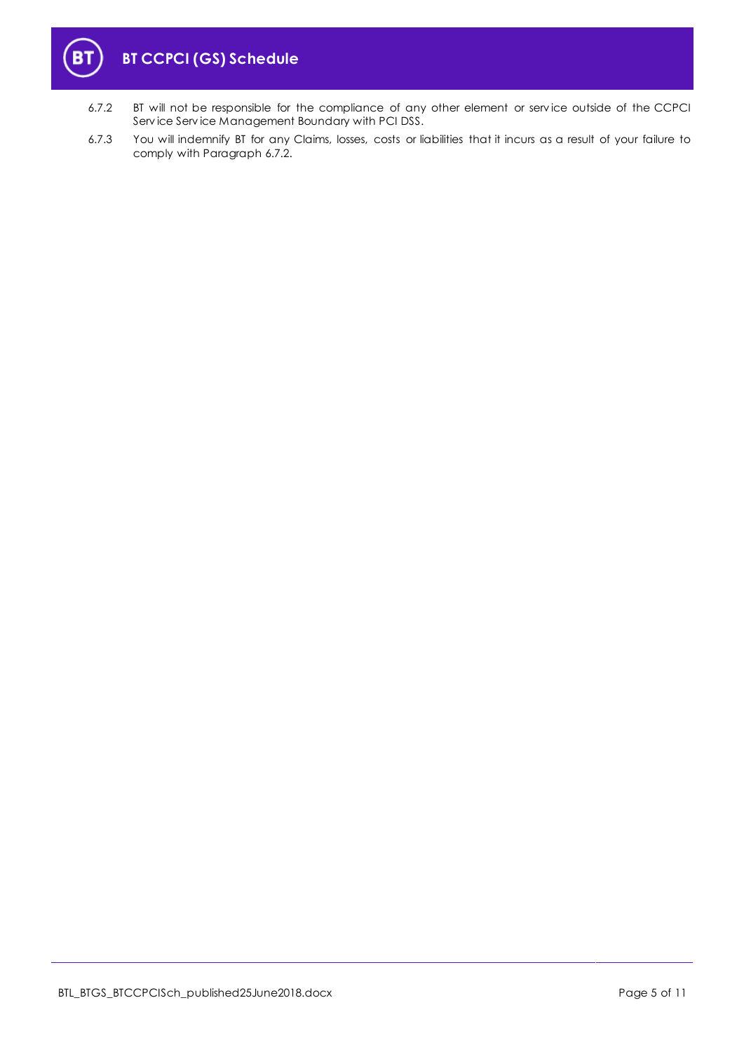

- <span id="page-4-0"></span>6.7.2 BT will not be responsible for the compliance of any other element or serv ice outside of the CCPCI Serv ice Serv ice Management Boundary with PCI DSS.
- 6.7.3 You will indemnify BT for any Claims, losses, costs or liabilities that it incurs as a result of your failure to comply with Paragrap[h 6.7.2.](#page-4-0)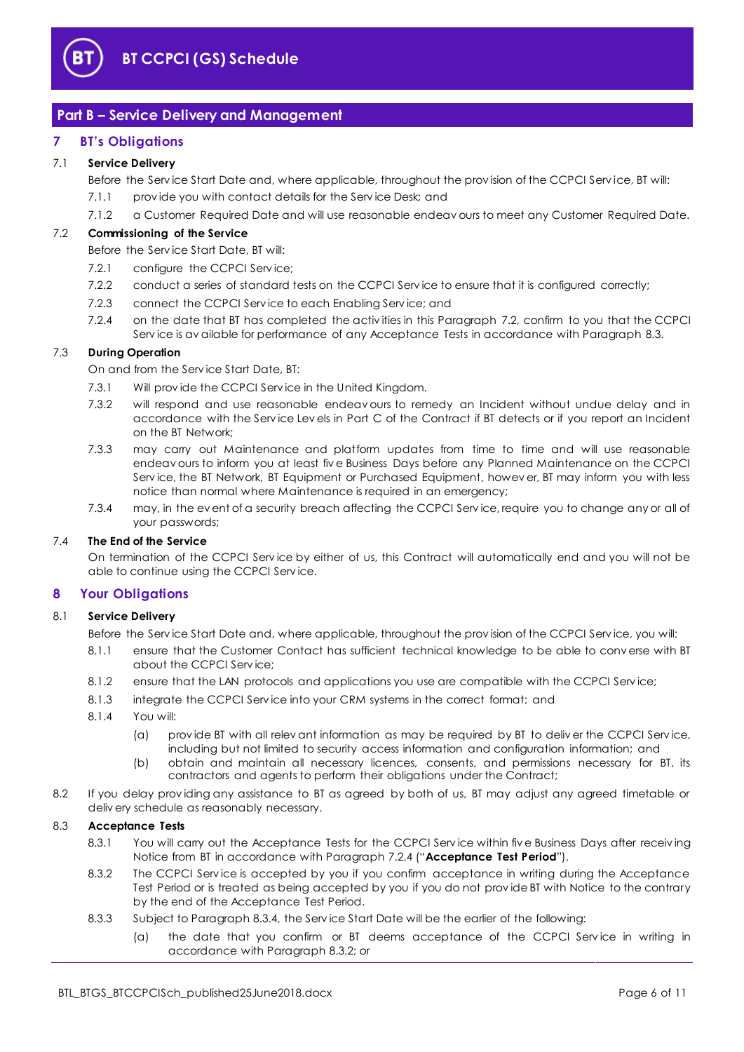

# <span id="page-5-0"></span>**Part B – Service Delivery and Management**

# <span id="page-5-1"></span>**7 BT's Obligations**

#### 7.1 **Service Delivery**

Before the Service Start Date and, where applicable, throughout the provision of the CCPCI Service, BT will:

- 7.1.1 prov ide you with contact details for the Serv ice Desk; and
- 7.1.2 a Customer Required Date and will use reasonable endeav ours to meet any Customer Required Date.

#### <span id="page-5-3"></span>7.2 **Commissioning of the Service**

Before the Serv ice Start Date, BT will:

- 7.2.1 configure the CCPCI Service:
- 7.2.2 conduct a series of standard tests on the CCPCI Service to ensure that it is configured correctly;
- 7.2.3 connect the CCPCI Serv ice to each Enabling Serv ice; and
- 7.2.4 on the date that BT has completed the activ ities in this Paragraph [7.2,](#page-5-3) confirm to you that the CCPCI Serv ice is av ailable for performance of any Acceptance Tests in accordance with Paragrap[h 8.3.](#page-5-4)

# <span id="page-5-8"></span><span id="page-5-5"></span>7.3 **During Operation**

On and from the Serv ice Start Date, BT:

- 7.3.1 Will prov ide the CCPCI Serv ice in the United Kingdom.
- 7.3.2 will respond and use reasonable endeav ours to remedy an Incident without undue delay and in accordance with the Serv ice Lev els in Part C of the Contract if BT detects or if you report an Incident on the BT Network;
- 7.3.3 may carry out Maintenance and platform updates from time to time and will use reasonable endeav ours to inform you at least fiv e Business Days before any Planned Maintenance on the CCPCI Serv ice, the BT Network, BT Equipment or Purchased Equipment, howev er, BT may inform you with less notice than normal where Maintenance is required in an emergency;
- 7.3.4 may, in the ev ent of a security breach affecting the CCPCI Serv ice, require you to change any or all of your passwords;

#### 7.4 **The End of the Service**

On termination of the CCPCI Serv ice by either of us, this Contract will automatically end and you will not be able to continue using the CCPCI Serv ice.

#### <span id="page-5-2"></span>**8 Your Obligations**

#### 8.1 **Service Delivery**

Before the Serv ice Start Date and, where applicable, throughout the prov ision of the CCPCI Serv ice, you will:

- 8.1.1 ensure that the Customer Contact has sufficient technical knowledge to be able to conv erse with BT about the CCPCI Serv ice;
- 8.1.2 ensure that the LAN protocols and applications you use are compatible with the CCPCI Service;
- 8.1.3 integrate the CCPCI Service into your CRM systems in the correct format; and
- 8.1.4 You will:
	- (a) prov ide BT with all relev ant information as may be required by BT to deliv er the CCPCI Serv ice, including but not limited to security access information and configuration information; and
	- (b) obtain and maintain all necessary licences, consents, and permissions necessary for BT, its contractors and agents to perform their obligations under the Contract;
- 8.2 If you delay prov iding any assistance to BT as agreed by both of us, BT may adjust any agreed timetable or deliv ery schedule as reasonably necessary.

#### <span id="page-5-7"></span><span id="page-5-4"></span>8.3 **Acceptance Tests**

- 8.3.1 You will carry out the Acceptance Tests for the CCPCI Service within five Business Days after receiving Notice from BT in accordance with Paragrap[h 7.2.4](#page-5-5) ("**Acceptance Test Period**").
- <span id="page-5-6"></span>8.3.2 The CCPCI Serv ice is accepted by you if you confirm acceptance in writing during the Acceptance Test Period or is treated as being accepted by you if you do not prov ide BT with Notice to the contrary by the end of the Acceptance Test Period.
- 8.3.3 Subject to Paragraph [8.3.4,](#page-6-0) the Serv ice Start Date will be the earlier of the following:
	- (a) the date that you confirm or BT deems acceptance of the CCPCI Service in writing in accordance with Paragrap[h 8.3.2;](#page-5-6) or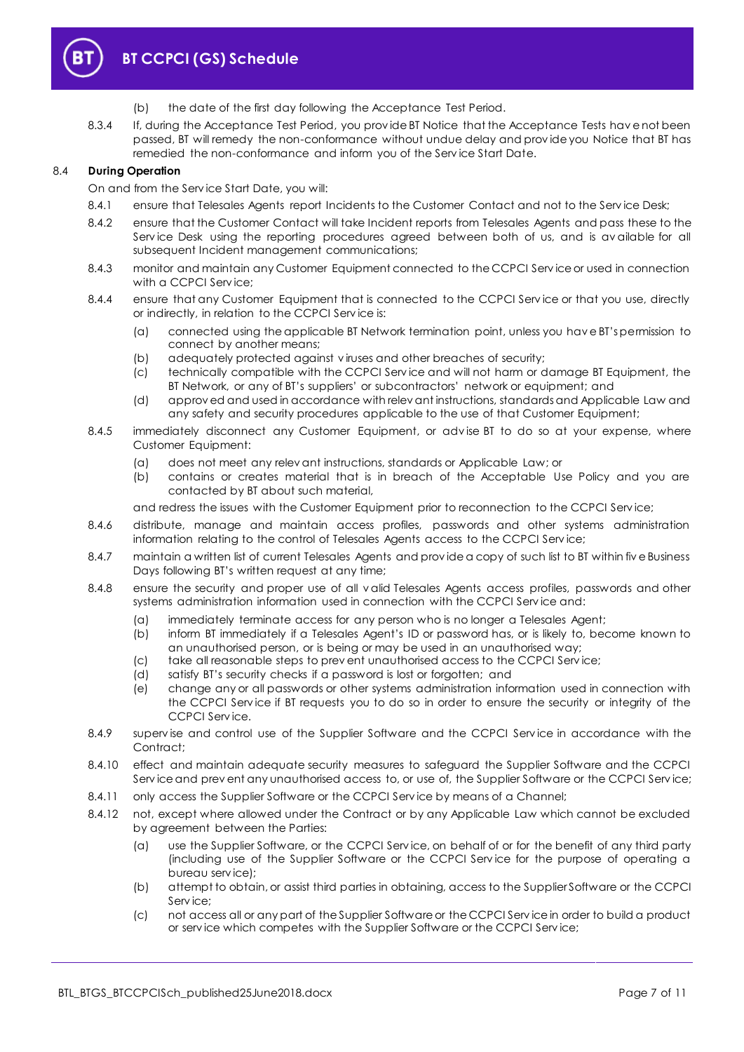

- (b) the date of the first day following the Acceptance Test Period.
- <span id="page-6-0"></span>8.3.4 If, during the Acceptance Test Period, you prov ide BT Notice that the Acceptance Tests hav e not been passed, BT will remedy the non-conformance without undue delay and prov ide you Notice that BT has remedied the non-conformance and inform you of the Serv ice Start Date.

#### <span id="page-6-1"></span>8.4 **During Operation**

On and from the Serv ice Start Date, you will:

- 8.4.1 ensure that Telesales Agents report Incidents to the Customer Contact and not to the Service Desk;
- 8.4.2 ensure that the Customer Contact will take Incident reports from Telesales Agents and pass these to the Serv ice Desk using the reporting procedures agreed between both of us, and is av ailable for all subsequent Incident management communications;
- 8.4.3 monitor and maintain any Customer Equipment connected to the CCPCI Serv ice or used in connection with a CCPCI Service:
- 8.4.4 ensure that any Customer Equipment that is connected to the CCPCI Service or that you use, directly or indirectly, in relation to the CCPCI Serv ice is:
	- (a) connected using the applicable BT Network termination point, unless you hav e BT's permission to connect by another means;
	- (b) adequately protected against v iruses and other breaches of security;
	- (c) technically compatible with the CCPCI Serv ice and will not harm or damage BT Equipment, the BT Network, or any of BT's suppliers' or subcontractors' network or equipment; and
	- (d) approv ed and used in accordance with relev ant instructions, standards and Applicable Law and any safety and security procedures applicable to the use of that Customer Equipment;
- 8.4.5 immediately disconnect any Customer Equipment, or adv ise BT to do so at your expense, where Customer Equipment:
	- (a) does not meet any relev ant instructions, standards or Applicable Law; or
	- (b) contains or creates material that is in breach of the Acceptable Use Policy and you are contacted by BT about such material,

and redress the issues with the Customer Equipment prior to reconnection to the CCPCI Serv ice;

- 8.4.6 distribute, manage and maintain access profiles, passwords and other systems administration information relating to the control of Telesales Agents access to the CCPCI Serv ice;
- 8.4.7 maintain a written list of current Telesales Agents and prov ide a copy of such list to BT within fiv e Business Days following BT's written request at any time;
- 8.4.8 ensure the security and proper use of all v alid Telesales Agents access profiles, passwords and other systems administration information used in connection with the CCPCI Serv ice and:
	- (a) immediately terminate access for any person who is no longer a Telesales Agent;
	- (b) inform BT immediately if a Telesales Agent's ID or password has, or is likely to, become known to an unauthorised person, or is being or may be used in an unauthorised way;
	- (c) take all reasonable steps to prev ent unauthorised access to the CCPCI Serv ice;
	- (d) satisfy BT's security checks if a password is lost or forgotten; and
	- (e) change any or all passwords or other systems administration information used in connection with the CCPCI Serv ice if BT requests you to do so in order to ensure the security or integrity of the CCPCI Serv ice.
- 8.4.9 supervise and control use of the Supplier Software and the CCPCI Service in accordance with the Contract<sup>+</sup>
- 8.4.10 effect and maintain adequate security measures to safeguard the Supplier Software and the CCPCI Serv ice and prev ent any unauthorised access to, or use of, the Supplier Software or the CCPCI Serv ice;
- 8.4.11 only access the Supplier Software or the CCPCI Service by means of a Channel;
- 8.4.12 not, except where allowed under the Contract or by any Applicable Law which cannot be excluded by agreement between the Parties:
	- (a) use the Supplier Software, or the CCPCI Serv ice, on behalf of or for the benefit of any third party (including use of the Supplier Software or the CCPCI Serv ice for the purpose of operating a bureau serv ice);
	- (b) attempt to obtain, or assist third parties in obtaining, access to the Supplier Software or the CCPCI Service:
	- (c) not access all or any part of the Supplier Software or the CCPCI Serv ice in order to build a product or serv ice which competes with the Supplier Software or the CCPCI Serv ice;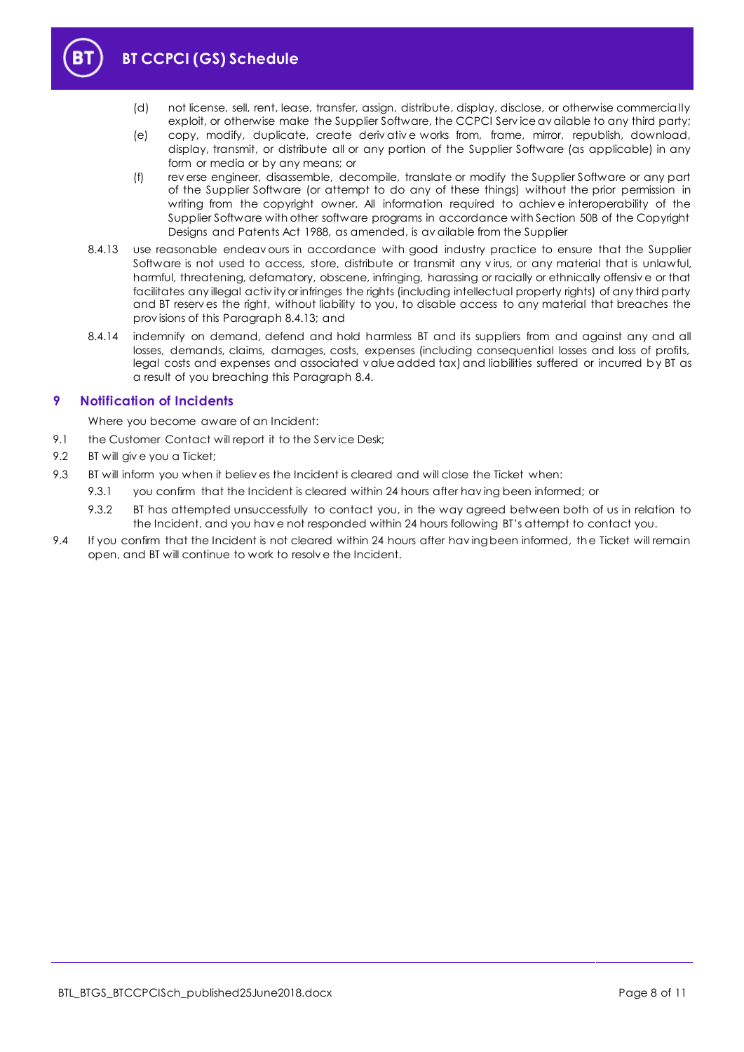

- (d) not license, sell, rent, lease, transfer, assign, distribute, display, disclose, or otherwise commercially exploit, or otherwise make the Supplier Software, the CCPCI Serv ice av ailable to any third party;
- (e) copy, modify, duplicate, create deriv ativ e works from, frame, mirror, republish, download, display, transmit, or distribute all or any portion of the Supplier Software (as applicable) in any form or media or by any means; or
- (f) rev erse engineer, disassemble, decompile, translate or modify the Supplier Software or any part of the Supplier Software (or attempt to do any of these things) without the prior permission in writing from the copyright owner. All information required to achiev e interoperability of the Supplier Software with other software programs in accordance with Section 50B of the Copyright Designs and Patents Act 1988, as amended, is av ailable from the Supplier
- <span id="page-7-1"></span>8.4.13 use reasonable endeav ours in accordance with good industry practice to ensure that the Supplier Software is not used to access, store, distribute or transmit any v irus, or any material that is unlawful, harmful, threatening, defamatory, obscene, infringing, harassing or racially or ethnically offensiv e or that facilitates any illegal activ ity or infringes the rights (including intellectual property rights) of any third party and BT reserv es the right, without liability to you, to disable access to any material that breaches the prov isions of this Paragrap[h 8.4.13;](#page-7-1) and
- 8.4.14 indemnify on demand, defend and hold harmless BT and its suppliers from and against any and all losses, demands, claims, damages, costs, expenses (including consequential losses and loss of profits, legal costs and expenses and associated v alue added tax) and liabilities suffered or incurred by BT as a result of you breaching this Paragrap[h 8.4.](#page-6-1)

# <span id="page-7-0"></span>**9 Notification of Incidents**

Where you become aware of an Incident:

- 9.1 the Customer Contact will report it to the Service Desk;
- 9.2 BT will give you a Ticket;
- 9.3 BT will inform you when it believ es the Incident is cleared and will close the Ticket when:
	- 9.3.1 you confirm that the Incident is cleared within 24 hours after hav ing been informed; or
	- 9.3.2 BT has attempted unsuccessfully to contact you, in the way agreed between both of us in relation to the Incident, and you hav e not responded within 24 hours following BT's attempt to contact you.
- 9.4 If you confirm that the Incident is not cleared within 24 hours after having been informed, the Ticket will remain open, and BT will continue to work to resolv e the Incident.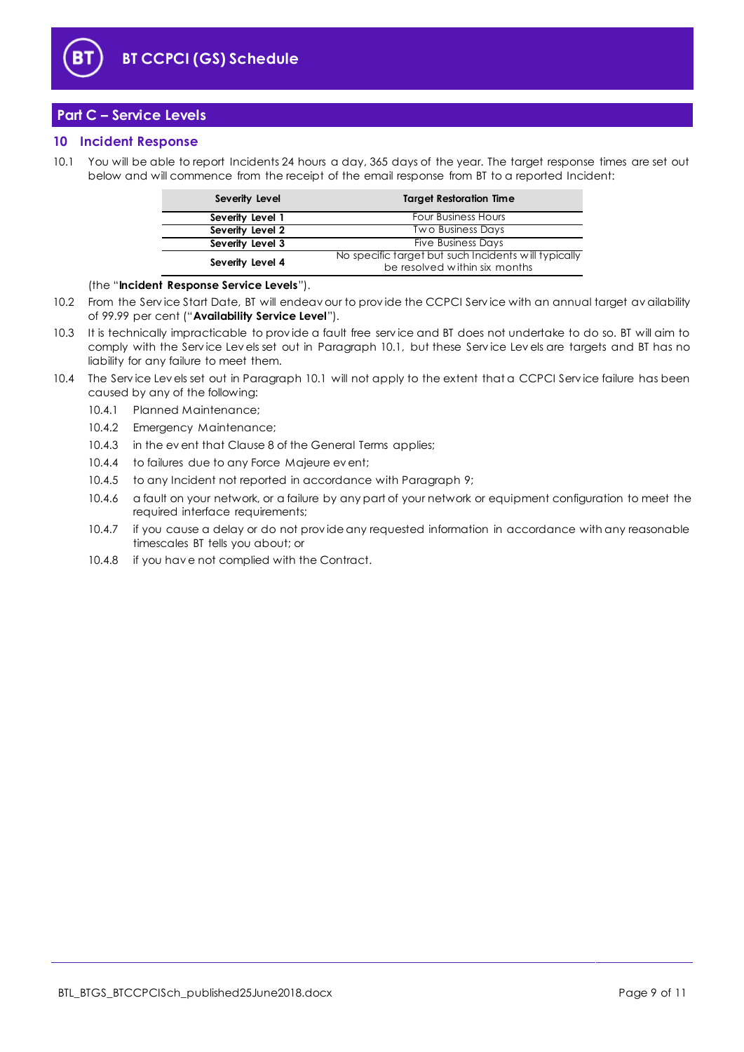

# <span id="page-8-0"></span>**Part C – Service Levels**

## <span id="page-8-1"></span>**10 Incident Response**

<span id="page-8-2"></span>10.1 You will be able to report Incidents 24 hours a day, 365 days of the year. The target response times are set out below and will commence from the receipt of the email response from BT to a reported Incident:

| Severity Level   | <b>Target Restoration Time</b>                       |
|------------------|------------------------------------------------------|
| Severity Level 1 | <b>Four Business Hours</b>                           |
| Severity Level 2 | <b>Two Business Days</b>                             |
| Severity Level 3 | <b>Five Business Days</b>                            |
| Severity Level 4 | No specific target but such Incidents will typically |
|                  | be resolved within six months                        |

(the "**Incident Response Service Levels**").

- <span id="page-8-3"></span>10.2 From the Serv ice Start Date, BT will endeav our to prov ide the CCPCI Serv ice with an annual target av ailability of 99.99 per cent ("**Availability Service Level**").
- 10.3 It is technically impracticable to prov ide a fault free serv ice and BT does not undertake to do so. BT will aim to comply with the Serv ice Lev els set out in Paragraph [10.1,](#page-8-2) but these Serv ice Lev els are targets and BT has no liability for any failure to meet them.
- 10.4 The Service Levels set out in Paragraph [10.1](#page-8-2) will not apply to the extent that a CCPCI Service failure has been caused by any of the following:
	- 10.4.1 Planned Maintenance;
	- 10.4.2 Emergency Maintenance;
	- 10.4.3 in the ev ent that Clause 8 of the General Terms applies;
	- 10.4.4 to failures due to any Force Majeure ev ent;
	- 10.4.5 to any Incident not reported in accordance with Paragrap[h 9;](#page-7-0)
	- 10.4.6 a fault on your network, or a failure by any part of your network or equipment configuration to meet the required interface requirements;
	- 10.4.7 if you cause a delay or do not prov ide any requested information in accordance with any reasonable timescales BT tells you about; or
	- 10.4.8 if you hav e not complied with the Contract.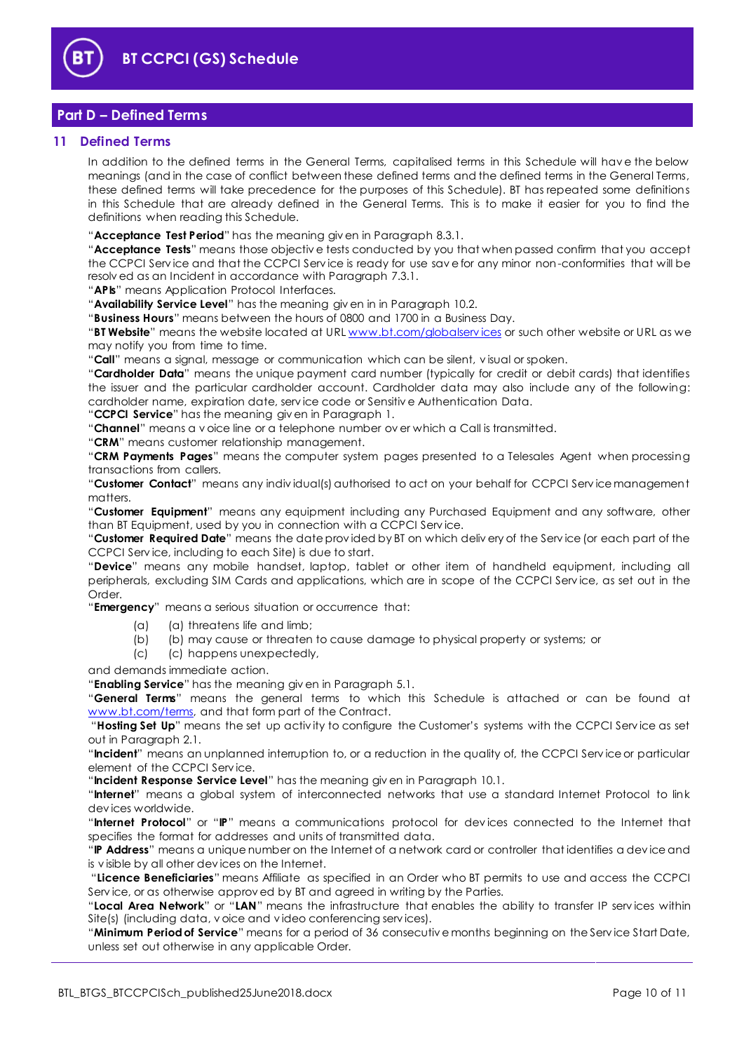

# <span id="page-9-0"></span>**Part D – Defined Terms**

#### <span id="page-9-1"></span>**11 Defined Terms**

In addition to the defined terms in the General Terms, capitalised terms in this Schedule will hav e the below meanings (and in the case of conflict between these defined terms and the defined terms in the General Terms, these defined terms will take precedence for the purposes of this Schedule). BT has repeated some definitions in this Schedule that are already defined in the General Terms. This is to make it easier for you to find the definitions when reading this Schedule.

"**Acceptance Test Period**" has the meaning giv en in Paragrap[h 8.3.1.](#page-5-7)

"**Acceptance Tests**" means those objectiv e tests conducted by you that when passed confirm that you accept the CCPCI Serv ice and that the CCPCI Serv ice is ready for use sav e for any minor non-conformities that will be resolv ed as an Incident in accordance with Paragrap[h 7.3.1.](#page-5-8)

"**APIs**" means Application Protocol Interfaces.

"**Availability Service Level**" has the meaning giv en in in Paragraph [10.2.](#page-8-3)

"**Business Hours**" means between the hours of 0800 and 1700 in a Business Day.

"**BT Website**" means the website located at URL [www.bt.com/globalserv ices](http://www.bt.com/globalservices) or such other website or URL as we may notify you from time to time.

"**Call**" means a signal, message or communication which can be silent, v isual or spoken.

"**Cardholder Data**" means the unique payment card number (typically for credit or debit cards) that identifies the issuer and the particular cardholder account. Cardholder data may also include any of the following: cardholder name, expiration date, serv ice code or Sensitiv e Authentication Data.

"**CCPCI Service**" has the meaning giv en in Paragrap[h 1.](#page-1-3)

"**Channel**" means a v oice line or a telephone number ov er which a Call is transmitted.

"**CRM**" means customer relationship management.

"**CRM Payments Pages**" means the computer system pages presented to a Telesales Agent when processing transactions from callers.

"**Customer Contact**" means any indiv idual(s) authorised to act on your behalf for CCPCI Serv ice management matters.

"**Customer Equipment**" means any equipment including any Purchased Equipment and any software, other than BT Equipment, used by you in connection with a CCPCI Serv ice.

"**Customer Required Date**" means the date prov ided by BT on which deliv ery of the Serv ice (or each part of the CCPCI Serv ice, including to each Site) is due to start.

"**Device**" means any mobile handset, laptop, tablet or other item of handheld equipment, including all peripherals, excluding SIM Cards and applications, which are in scope of the CCPCI Serv ice, as set out in the Order.

"**Emergency**" means a serious situation or occurrence that:

- (a) (a) threatens life and limb;
- (b) (b) may cause or threaten to cause damage to physical property or systems; or
- (c) (c) happens unexpectedly,

and demands immediate action.

"**Enabling Service**" has the meaning giv en in Paragrap[h 5.1.](#page-2-4)

"**General Terms**" means the general terms to which this Schedule is attached or can be found at [www.bt.com/terms,](http://www.bt.com/terms) and that form part of the Contract.

"**Hosting Set Up**" means the set up activ ity to configure the Customer's systems with the CCPCI Serv ice as set out in Paragraph [2.1.](#page-1-9)

"**Incident**" means an unplanned interruption to, or a reduction in the quality of, the CCPCI Serv ice or particular element of the CCPCI Serv ice.

"**Incident Response Service Level**" has the meaning giv en in Paragraph [10.1.](#page-8-2)

"**Internet**" means a global system of interconnected networks that use a standard Internet Protocol to link dev ices worldwide.

"**Internet Protocol**" or "**IP**" means a communications protocol for dev ices connected to the Internet that specifies the format for addresses and units of transmitted data.

"**IP Address**" means a unique number on the Internet of a network card or controller that identifies a dev ice and is v isible by all other dev ices on the Internet.

"**Licence Beneficiaries**" means Affiliate as specified in an Order who BT permits to use and access the CCPCI Service, or as otherwise approved by BT and agreed in writing by the Parties.

"**Local Area Network**" or "**LAN**" means the infrastructure that enables the ability to transfer IP serv ices within Site(s) (including data, v oice and v ideo conferencing serv ices).

"**Minimum Period of Service**" means for a period of 36 consecutiv e months beginning on the Serv ice Start Date, unless set out otherwise in any applicable Order.